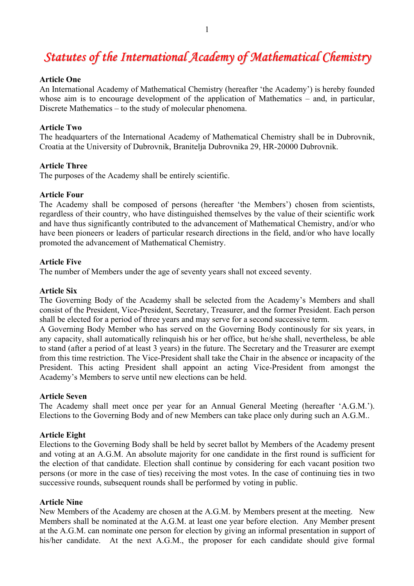# *Statutes of the International Academy of Mathematical Chemistry*

#### **Article One**

An International Academy of Mathematical Chemistry (hereafter 'the Academy') is hereby founded whose aim is to encourage development of the application of Mathematics – and, in particular, Discrete Mathematics – to the study of molecular phenomena.

#### **Article Two**

The headquarters of the International Academy of Mathematical Chemistry shall be in Dubrovnik, Croatia at the University of Dubrovnik, Branitelja Dubrovnika 29, HR-20000 Dubrovnik.

#### **Article Three**

The purposes of the Academy shall be entirely scientific.

# **Article Four**

The Academy shall be composed of persons (hereafter 'the Members') chosen from scientists, regardless of their country, who have distinguished themselves by the value of their scientific work and have thus significantly contributed to the advancement of Mathematical Chemistry, and/or who have been pioneers or leaders of particular research directions in the field, and/or who have locally promoted the advancement of Mathematical Chemistry.

## **Article Five**

The number of Members under the age of seventy years shall not exceed seventy.

## **Article Six**

The Governing Body of the Academy shall be selected from the Academy's Members and shall consist of the President, Vice-President, Secretary, Treasurer, and the former President. Each person shall be elected for a period of three years and may serve for a second successive term.

A Governing Body Member who has served on the Governing Body continously for six years, in any capacity, shall automatically relinquish his or her office, but he/she shall, nevertheless, be able to stand (after a period of at least 3 years) in the future. The Secretary and the Treasurer are exempt from this time restriction. The Vice-President shall take the Chair in the absence or incapacity of the President. This acting President shall appoint an acting Vice-President from amongst the Academy's Members to serve until new elections can be held.

#### **Article Seven**

The Academy shall meet once per year for an Annual General Meeting (hereafter 'A.G.M.'). Elections to the Governing Body and of new Members can take place only during such an A.G.M..

# **Article Eight**

Elections to the Governing Body shall be held by secret ballot by Members of the Academy present and voting at an A.G.M. An absolute majority for one candidate in the first round is sufficient for the election of that candidate. Election shall continue by considering for each vacant position two persons (or more in the case of ties) receiving the most votes. In the case of continuing ties in two successive rounds, subsequent rounds shall be performed by voting in public.

#### **Article Nine**

New Members of the Academy are chosen at the A.G.M. by Members present at the meeting. New Members shall be nominated at the A.G.M. at least one year before election. Any Member present at the A.G.M. can nominate one person for election by giving an informal presentation in support of his/her candidate. At the next A.G.M., the proposer for each candidate should give formal